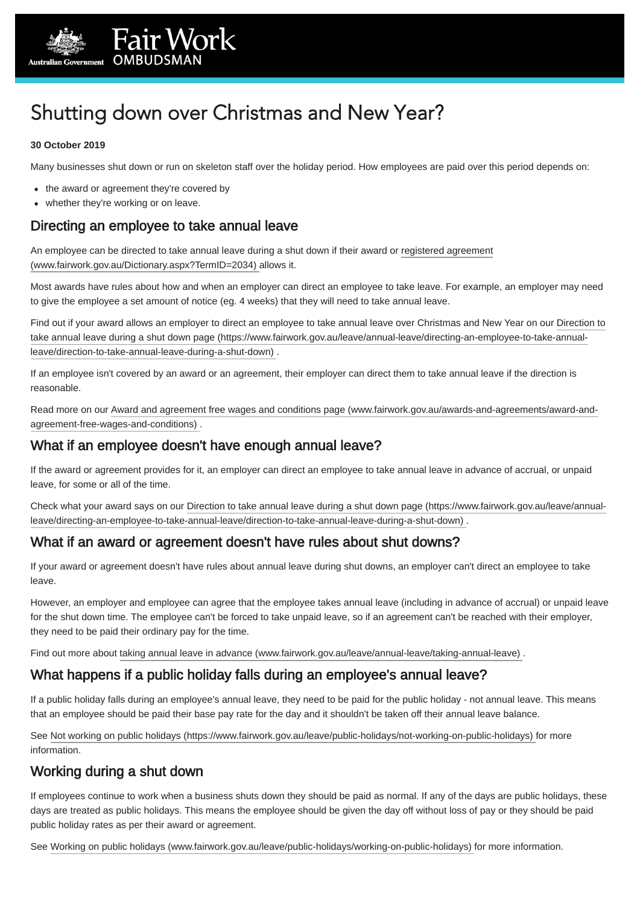

# Shutting down over Christmas and New Year?

#### **30 October 2019**

Many businesses shut down or run on skeleton staff over the holiday period. How employees are paid over this period depends on:

- the award or agreement they're covered by
- whether they're working or on leave.

# Directing an employee to take annual leave

[An employee can be directed to take annual leave during a shut down if their award or registered agreement](https://www.fairwork.gov.au/Dictionary.aspx?TermID=2034) (www.fairwork.gov.au/Dictionary.aspx?TermID=2034) allows it.

Most awards have rules about how and when an employer can direct an employee to take leave. For example, an employer may need to give the employee a set amount of notice (eg. 4 weeks) that they will need to take annual leave.

[Find out if your award allows an employer to direct an employee to take annual leave over Christmas and New Year on our Direction to](https://www.fairwork.gov.au/leave/annual-leave/directing-an-employee-to-take-annual-leave/direction-to-take-annual-leave-during-a-shut-down) take annual leave during a shut down page (https://www.fairwork.gov.au/leave/annual-leave/directing-an-employee-to-take-annualleave/direction-to-take-annual-leave-during-a-shut-down) .

If an employee isn't covered by an award or an agreement, their employer can direct them to take annual leave if the direction is reasonable.

[Read more on our Award and agreement free wages and conditions page \(www.fairwork.gov.au/awards-and-agreements/award-and](https://www.fairwork.gov.au/awards-and-agreements/award-and-agreement-free-wages-and-conditions)agreement-free-wages-and-conditions) .

## What if an employee doesn't have enough annual leave?

If the award or agreement provides for it, an employer can direct an employee to take annual leave in advance of accrual, or unpaid leave, for some or all of the time.

[Check what your award says on our Direction to take annual leave during a shut down page \(https://www.fairwork.gov.au/leave/annual](https://www.fairwork.gov.au/leave/annual-leave/directing-an-employee-to-take-annual-leave/direction-to-take-annual-leave-during-a-shut-down)leave/directing-an-employee-to-take-annual-leave/direction-to-take-annual-leave-during-a-shut-down) .

## What if an award or agreement doesn't have rules about shut downs?

If your award or agreement doesn't have rules about annual leave during shut downs, an employer can't direct an employee to take leave.

However, an employer and employee can agree that the employee takes annual leave (including in advance of accrual) or unpaid leave for the shut down time. The employee can't be forced to take unpaid leave, so if an agreement can't be reached with their employer, they need to be paid their ordinary pay for the time.

Find out more about taking annual leave in advance (www.fairwork.gov.au/leave/annual-leave/taking-annual-leave).

### What happens if a public holiday falls during an employee's annual leave?

If a public holiday falls during an employee's annual leave, they need to be paid for the public holiday - not annual leave. This means that an employee should be paid their base pay rate for the day and it shouldn't be taken off their annual leave balance.

See [Not working on public holidays \(https://www.fairwork.gov.au/leave/public-holidays/not-working-on-public-holidays\)](https://www.fairwork.gov.au/leave/public-holidays/not-working-on-public-holidays) for more information.

## Working during a shut down

If employees continue to work when a business shuts down they should be paid as normal. If any of the days are public holidays, these days are treated as public holidays. This means the employee should be given the day off without loss of pay or they should be paid public holiday rates as per their award or agreement.

See [Working on public holidays \(www.fairwork.gov.au/leave/public-holidays/working-on-public-holidays\)](https://www.fairwork.gov.au/leave/public-holidays/working-on-public-holidays) for more information.